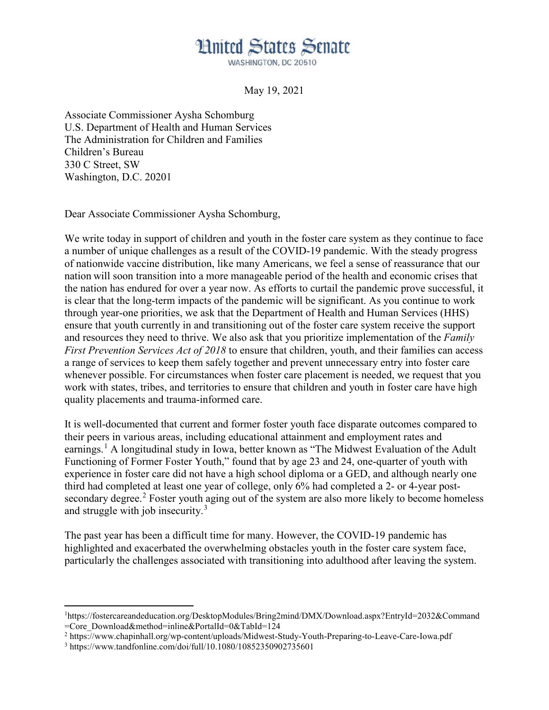## **Hnited States Senate**

WASHINGTON, DC 20510

May 19, 2021

Associate Commissioner Aysha Schomburg U.S. Department of Health and Human Services The Administration for Children and Families Children's Bureau 330 C Street, SW Washington, D.C. 20201

Dear Associate Commissioner Aysha Schomburg,

We write today in support of children and youth in the foster care system as they continue to face a number of unique challenges as a result of the COVID-19 pandemic. With the steady progress of nationwide vaccine distribution, like many Americans, we feel a sense of reassurance that our nation will soon transition into a more manageable period of the health and economic crises that the nation has endured for over a year now. As efforts to curtail the pandemic prove successful, it is clear that the long-term impacts of the pandemic will be significant. As you continue to work through year-one priorities, we ask that the Department of Health and Human Services (HHS) ensure that youth currently in and transitioning out of the foster care system receive the support and resources they need to thrive. We also ask that you prioritize implementation of the *Family First Prevention Services Act of 2018* to ensure that children, youth, and their families can access a range of services to keep them safely together and prevent unnecessary entry into foster care whenever possible. For circumstances when foster care placement is needed, we request that you work with states, tribes, and territories to ensure that children and youth in foster care have high quality placements and trauma-informed care.

It is well-documented that current and former foster youth face disparate outcomes compared to their peers in various areas, including educational attainment and employment rates and earnings.<sup>[1](#page-0-0)</sup> A longitudinal study in Iowa, better known as "The Midwest Evaluation of the Adult Functioning of Former Foster Youth," found that by age 23 and 24, one-quarter of youth with experience in foster care did not have a high school diploma or a GED, and although nearly one third had completed at least one year of college, only 6% had completed a 2- or 4-year post-secondary degree.<sup>[2](#page-0-1)</sup> Foster youth aging out of the system are also more likely to become homeless and struggle with job insecurity.<sup>[3](#page-0-2)</sup>

The past year has been a difficult time for many. However, the COVID-19 pandemic has highlighted and exacerbated the overwhelming obstacles youth in the foster care system face, particularly the challenges associated with transitioning into adulthood after leaving the system.

<span id="page-0-1"></span><sup>2</sup> https://www.chapinhall.org/wp-content/uploads/Midwest-Study-Youth-Preparing-to-Leave-Care-Iowa.pdf

 $\overline{\phantom{a}}$ 

<span id="page-0-0"></span><sup>1</sup> https://fostercareandeducation.org/DesktopModules/Bring2mind/DMX/Download.aspx?EntryId=2032&Command =Core\_Download&method=inline&PortalId=0&TabId=124

<span id="page-0-2"></span><sup>3</sup> https://www.tandfonline.com/doi/full/10.1080/10852350902735601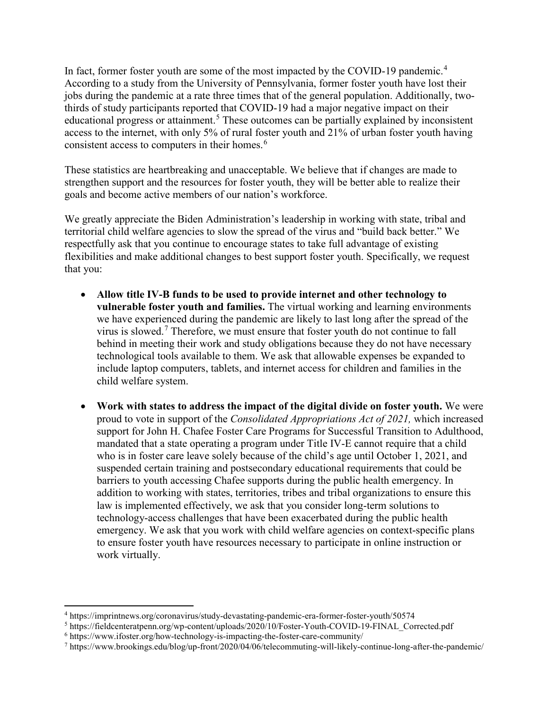In fact, former foster youth are some of the most impacted by the COVID-19 pandemic.<sup>[4](#page-1-0)</sup> According to a study from the University of Pennsylvania, former foster youth have lost their jobs during the pandemic at a rate three times that of the general population. Additionally, twothirds of study participants reported that COVID-19 had a major negative impact on their educational progress or attainment.<sup>[5](#page-1-1)</sup> These outcomes can be partially explained by inconsistent access to the internet, with only 5% of rural foster youth and 21% of urban foster youth having consistent access to computers in their homes.<sup>[6](#page-1-2)</sup>

These statistics are heartbreaking and unacceptable. We believe that if changes are made to strengthen support and the resources for foster youth, they will be better able to realize their goals and become active members of our nation's workforce.

We greatly appreciate the Biden Administration's leadership in working with state, tribal and territorial child welfare agencies to slow the spread of the virus and "build back better." We respectfully ask that you continue to encourage states to take full advantage of existing flexibilities and make additional changes to best support foster youth. Specifically, we request that you:

- **Allow title IV-B funds to be used to provide internet and other technology to vulnerable foster youth and families.** The virtual working and learning environments we have experienced during the pandemic are likely to last long after the spread of the virus is slowed.[7](#page-1-3) Therefore, we must ensure that foster youth do not continue to fall behind in meeting their work and study obligations because they do not have necessary technological tools available to them. We ask that allowable expenses be expanded to include laptop computers, tablets, and internet access for children and families in the child welfare system.
- **Work with states to address the impact of the digital divide on foster youth.** We were proud to vote in support of the *Consolidated Appropriations Act of 2021,* which increased support for John H. Chafee Foster Care Programs for Successful Transition to Adulthood, mandated that a state operating a program under Title IV-E cannot require that a child who is in foster care leave solely because of the child's age until October 1, 2021, and suspended certain training and postsecondary educational requirements that could be barriers to youth accessing Chafee supports during the public health emergency. In addition to working with states, territories, tribes and tribal organizations to ensure this law is implemented effectively, we ask that you consider long-term solutions to technology-access challenges that have been exacerbated during the public health emergency. We ask that you work with child welfare agencies on context-specific plans to ensure foster youth have resources necessary to participate in online instruction or work virtually.

 $\overline{\phantom{a}}$ 

<span id="page-1-0"></span><sup>4</sup> https://imprintnews.org/coronavirus/study-devastating-pandemic-era-former-foster-youth/50574

<span id="page-1-1"></span><sup>5</sup> https://fieldcenteratpenn.org/wp-content/uploads/2020/10/Foster-Youth-COVID-19-FINAL\_Corrected.pdf

<span id="page-1-2"></span><sup>6</sup> https://www.ifoster.org/how-technology-is-impacting-the-foster-care-community/

<span id="page-1-3"></span><sup>7</sup> https://www.brookings.edu/blog/up-front/2020/04/06/telecommuting-will-likely-continue-long-after-the-pandemic/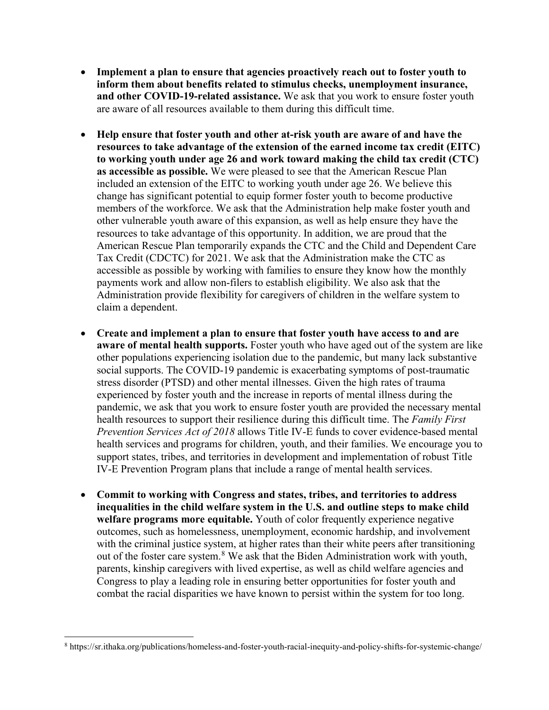- **Implement a plan to ensure that agencies proactively reach out to foster youth to inform them about benefits related to stimulus checks, unemployment insurance, and other COVID-19-related assistance.** We ask that you work to ensure foster youth are aware of all resources available to them during this difficult time.
- **Help ensure that foster youth and other at-risk youth are aware of and have the resources to take advantage of the extension of the earned income tax credit (EITC) to working youth under age 26 and work toward making the child tax credit (CTC) as accessible as possible.** We were pleased to see that the American Rescue Plan included an extension of the EITC to working youth under age 26. We believe this change has significant potential to equip former foster youth to become productive members of the workforce. We ask that the Administration help make foster youth and other vulnerable youth aware of this expansion, as well as help ensure they have the resources to take advantage of this opportunity. In addition, we are proud that the American Rescue Plan temporarily expands the CTC and the Child and Dependent Care Tax Credit (CDCTC) for 2021. We ask that the Administration make the CTC as accessible as possible by working with families to ensure they know how the monthly payments work and allow non-filers to establish eligibility. We also ask that the Administration provide flexibility for caregivers of children in the welfare system to claim a dependent.
- **Create and implement a plan to ensure that foster youth have access to and are aware of mental health supports.** Foster youth who have aged out of the system are like other populations experiencing isolation due to the pandemic, but many lack substantive social supports. The COVID-19 pandemic is exacerbating symptoms of post-traumatic stress disorder (PTSD) and other mental illnesses. Given the high rates of trauma experienced by foster youth and the increase in reports of mental illness during the pandemic, we ask that you work to ensure foster youth are provided the necessary mental health resources to support their resilience during this difficult time. The *Family First Prevention Services Act of 2018* allows Title IV-E funds to cover evidence-based mental health services and programs for children, youth, and their families. We encourage you to support states, tribes, and territories in development and implementation of robust Title IV-E Prevention Program plans that include a range of mental health services.
- **Commit to working with Congress and states, tribes, and territories to address inequalities in the child welfare system in the U.S. and outline steps to make child welfare programs more equitable.** Youth of color frequently experience negative outcomes, such as homelessness, unemployment, economic hardship, and involvement with the criminal justice system, at higher rates than their white peers after transitioning out of the foster care system.[8](#page-2-0) We ask that the Biden Administration work with youth, parents, kinship caregivers with lived expertise, as well as child welfare agencies and Congress to play a leading role in ensuring better opportunities for foster youth and combat the racial disparities we have known to persist within the system for too long.

l

<span id="page-2-0"></span><sup>8</sup> https://sr.ithaka.org/publications/homeless-and-foster-youth-racial-inequity-and-policy-shifts-for-systemic-change/